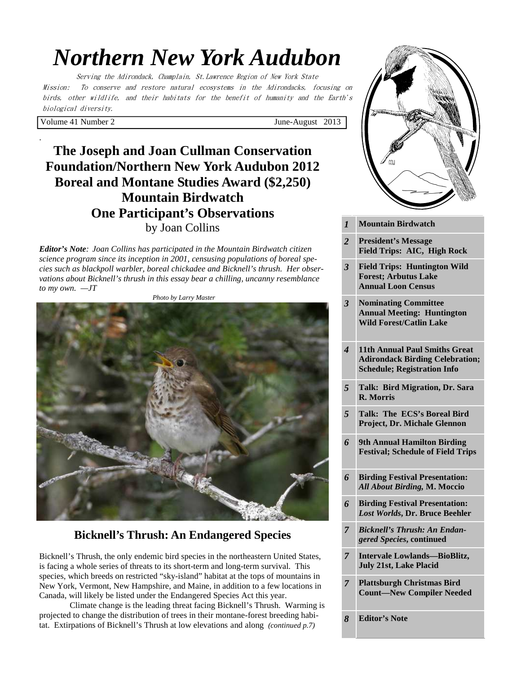# *Northern New York Audubon*

Serving the Adirondack, Champlain, St.Lawrence Region of New York State Mission: To conserve and restore natural ecosystems in the Adirondacks, focusing on birds, other wildlife, and their habitats for the benefit of humanity and the Earth's biological diversity.

Volume 41 Number 2 June-August 2013

.

# **The Joseph and Joan Cullman Conservation Foundation/Northern New York Audubon 2012 Boreal and Montane Studies Award (\$2,250) Mountain Birdwatch One Participant's Observations**  by Joan Collins

*Editor's Note: Joan Collins has participated in the Mountain Birdwatch citizen science program since its inception in 2001, censusing populations of boreal species such as blackpoll warbler, boreal chickadee and Bicknell's thrush. Her observations about Bicknell's thrush in this essay bear a chilling, uncanny resemblance to my own. —JT* 



# **Bicknell's Thrush: An Endangered Species**

Bicknell's Thrush, the only endemic bird species in the northeastern United States, is facing a whole series of threats to its short-term and long-term survival. This species, which breeds on restricted "sky-island" habitat at the tops of mountains in New York, Vermont, New Hampshire, and Maine, in addition to a few locations in Canada, will likely be listed under the Endangered Species Act this year.

 Climate change is the leading threat facing Bicknell's Thrush. Warming is projected to change the distribution of trees in their montane-forest breeding habitat. Extirpations of Bicknell's Thrush at low elevations and along *(continued p.7)*



| $\boldsymbol{l}$        | <b>Mountain Birdwatch</b>                                                                                            |
|-------------------------|----------------------------------------------------------------------------------------------------------------------|
| $\overline{c}$          | <b>President's Message</b><br>Field Trips: AIC, High Rock                                                            |
| $\overline{\mathbf{3}}$ | <b>Field Trips: Huntington Wild</b><br><b>Forest; Arbutus Lake</b><br><b>Annual Loon Census</b>                      |
| 3                       | <b>Nominating Committee</b><br><b>Annual Meeting: Huntington</b><br><b>Wild Forest/Catlin Lake</b>                   |
| 4                       | <b>11th Annual Paul Smiths Great</b><br><b>Adirondack Birding Celebration;</b><br><b>Schedule; Registration Info</b> |
| 5                       | Talk: Bird Migration, Dr. Sara<br><b>R.</b> Morris                                                                   |
| 5                       | Talk: The ECS's Boreal Bird<br>Project, Dr. Michale Glennon                                                          |
| 6                       | <b>9th Annual Hamilton Birding</b><br><b>Festival; Schedule of Field Trips</b>                                       |
| 6                       | <b>Birding Festival Presentation:</b><br>All About Birding, M. Moccio                                                |
| 6                       | <b>Birding Festival Presentation:</b><br>Lost Worlds, Dr. Bruce Beehler                                              |
| $\overline{7}$          | <b>Bicknell's Thrush: An Endan-</b><br>gered Species, continued                                                      |
| $\overline{7}$          | <b>Intervale Lowlands-BioBlitz,</b><br><b>July 21st, Lake Placid</b>                                                 |
| $\overline{7}$          | <b>Plattsburgh Christmas Bird</b><br><b>Count-New Compiler Needed</b>                                                |

*8* **Editor's Note**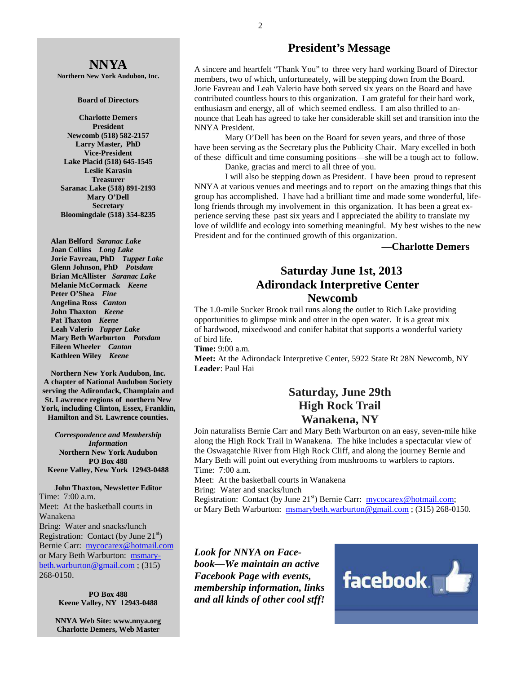# **NNYA**

**Northern New York Audubon, Inc.** 

#### **Board of Directors**

**Charlotte Demers President Newcomb (518) 582-2157 Larry Master, PhD Vice-President Lake Placid (518) 645-1545 Leslie Karasin Treasurer Saranac Lake (518) 891-2193 Mary O'Dell Secretary Bloomingdale (518) 354-8235** 

 **Alan Belford** *Saranac Lake*  **Joan Collins** *Long Lake*   **Jorie Favreau, PhD** *Tupper Lake*  **Glenn Johnson, PhD** *Potsdam*   **Brian McAllister** *Saranac Lake*   **Melanie McCormack** *Keene*   **Peter O'Shea** *Fine*   **Angelina Ross** *Canton* **John Thaxton** *Keene* **Pat Thaxton** *Keene* **Leah Valerio** *Tupper Lake*   **Mary Beth Warburton** *Potsdam*   **Eileen Wheeler** *Canton* **Kathleen Wiley** *Keene* 

**Northern New York Audubon, Inc. A chapter of National Audubon Society serving the Adirondack, Champlain and St. Lawrence regions of northern New York, including Clinton, Essex, Franklin, Hamilton and St. Lawrence counties.** 

*Correspondence and Membership Information* **Northern New York Audubon PO Box 488 Keene Valley, New York 12943-0488** 

**John Thaxton, Newsletter Editor**  Time: 7:00 a.m. Meet: At the basketball courts in Wanakena Bring: Water and snacks/lunch Registration: Contact (by June  $21<sup>st</sup>$ ) Bernie Carr: mycocarex@hotmail.com or Mary Beth Warburton: msmarybeth.warburton@gmail.com ; (315) 268-0150.

> **PO Box 488 Keene Valley, NY 12943-0488**

**NNYA Web Site: www.nnya.org Charlotte Demers, Web Master**

### **President's Message**

A sincere and heartfelt "Thank You" to three very hard working Board of Director members, two of which, unfortuneately, will be stepping down from the Board. Jorie Favreau and Leah Valerio have both served six years on the Board and have contributed countless hours to this organization. I am grateful for their hard work, enthusiasm and energy, all of which seemed endless. I am also thrilled to announce that Leah has agreed to take her considerable skill set and transition into the NNYA President.

 Mary O'Dell has been on the Board for seven years, and three of those have been serving as the Secretary plus the Publicity Chair. Mary excelled in both of these difficult and time consuming positions—she will be a tough act to follow.

Danke, gracias and merci to all three of you.

 I will also be stepping down as President. I have been proud to represent NNYA at various venues and meetings and to report on the amazing things that this group has accomplished. I have had a brilliant time and made some wonderful, lifelong friends through my involvement in this organization. It has been a great experience serving these past six years and I appreciated the ability to translate my love of wildlife and ecology into something meaningful. My best wishes to the new President and for the continued growth of this organization.

### **—Charlotte Demers**

## **Saturday June 1st, 2013 Adirondack Interpretive Center Newcomb**

The 1.0-mile Sucker Brook trail runs along the outlet to Rich Lake providing opportunities to glimpse mink and otter in the open water. It is a great mix of hardwood, mixedwood and conifer habitat that supports a wonderful variety of bird life.

#### **Time:** 9:00 a.m.

**Meet:** At the Adirondack Interpretive Center, 5922 State Rt 28N Newcomb, NY **Leader**: Paul Hai

# **Saturday, June 29th High Rock Trail Wanakena, NY**

Join naturalists Bernie Carr and Mary Beth Warburton on an easy, seven-mile hike along the High Rock Trail in Wanakena. The hike includes a spectacular view of the Oswagatchie River from High Rock Cliff, and along the journey Bernie and Mary Beth will point out everything from mushrooms to warblers to raptors. Time: 7:00 a.m.

Meet: At the basketball courts in Wanakena

Bring: Water and snacks/lunch

Registration: Contact (by June 21<sup>st</sup>) Bernie Carr: mycocarex@hotmail.com; or Mary Beth Warburton: msmarybeth.warburton@gmail.com; (315) 268-0150.

*Look for NNYA on Facebook—We maintain an active Facebook Page with events, membership information, links and all kinds of other cool stff!* 

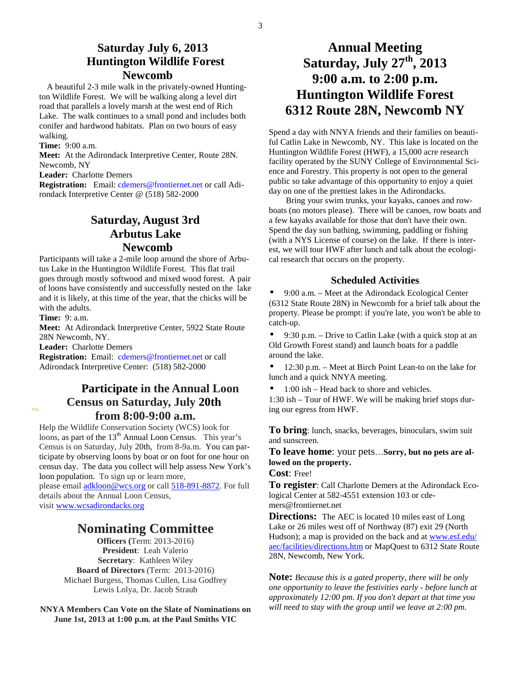### **Saturday July 6, 2013 Huntington Wildlife Forest Newcomb**

A beautiful 2-3 mile walk in the privately-owned Huntington Wildlife Forest. We will be walking along a level dirt road that parallels a lovely marsh at the west end of Rich Lake. The walk continues to a small pond and includes both conifer and hardwood habitats. Plan on two hours of easy walking.

**Time:** 9:00 a.m.

**Meet:** At the Adirondack Interpretive Center, Route 28N. Newcomb, NY

**Leader:** Charlotte Demers

**Registration:** Email: cdemers@frontiernet.net or call Adirondack Interpretive Center @ (518) 582-2000

# **Saturday, August 3rd Arbutus Lake Newcomb**

Participants will take a 2-mile loop around the shore of Arbutus Lake in the Huntington Wildlife Forest. This flat trail goes through mostly softwood and mixed wood forest. A pair of loons have consistently and successfully nested on the lake and it is likely, at this time of the year, that the chicks will be with the adults.

**Time:** 9: a.m.

**Meet:** At Adirondack Interpretive Center, 5922 State Route 28N Newcomb, NY.

**Leader:** Charlotte Demers

**Registration:** Email: cdemers@frontiernet.net or call Adirondack Interpretive Center: (518) 582-2000

# **Participate in the Annual Loon Census on Saturday, July 20th from 8:00-9:00 a.m.**

Help the Wildlife Conservation Society (WCS) look for loons, as part of the  $13<sup>th</sup>$  Annual Loon Census. This year's Census is on Saturday, July 20th, from 8-9a.m. You can participate by observing loons by boat or on foot for one hour on census day. The data you collect will help assess New York's loon population. To sign up or learn more,

please email **adkloon@wcs.org** or call 518-891-8872. For full details about the Annual Loon Census, visit www.wcsadirondacks.org

# **Nominating Committee**

**Officers (**Term: 2013-2016) **President**: Leah Valerio **Secretary**: Kathleen Wiley **Board of Directors** (Term: 2013-2016) Michael Burgess, Thomas Cullen, Lisa Godfrey Lewis Lolya, Dr. Jacob Straub

**NNYA Members Can Vote on the Slate of Nominations on June 1st, 2013 at 1:00 p.m. at the Paul Smiths VIC**

# **Annual Meeting Saturday, July 27th, 2013 9:00 a.m. to 2:00 p.m. Huntington Wildlife Forest 6312 Route 28N, Newcomb NY**

Spend a day with NNYA friends and their families on beautiful Catlin Lake in Newcomb, NY. This lake is located on the Huntington Wildlife Forest (HWF), a 15,000 acre research facility operated by the SUNY College of Environmental Science and Forestry. This property is not open to the general public so take advantage of this opportunity to enjoy a quiet day on one of the prettiest lakes in the Adirondacks.

 Bring your swim trunks, your kayaks, canoes and rowboats (no motors please). There will be canoes, row boats and a few kayaks available for those that don't have their own. Spend the day sun bathing, swimming, paddling or fishing (with a NYS License of course) on the lake. If there is interest, we will tour HWF after lunch and talk about the ecological research that occurs on the property.

### **Scheduled Activities**

• 9:00 a.m. – Meet at the Adirondack Ecological Center (6312 State Route 28N) in Newcomb for a brief talk about the property. Please be prompt: if you're late, you won't be able to catch-up.

• 9:30 p.m. – Drive to Catlin Lake (with a quick stop at an Old Growth Forest stand) and launch boats for a paddle around the lake.

• 12:30 p.m. – Meet at Birch Point Lean-to on the lake for lunch and a quick NNYA meeting.

• 1:00 ish – Head back to shore and vehicles.

1:30 ish – Tour of HWF. We will be making brief stops during our egress from HWF.

**To bring**: lunch, snacks, beverages, binoculars, swim suit and sunscreen.

**To leave home**: your pets…**Sorry, but no pets are allowed on the property.**

**Cost**: Free!

**To register**: Call Charlotte Demers at the Adirondack Ecological Center at 582-4551 extension 103 or cdemers@frontiernet.net

**Directions:** The AEC is located 10 miles east of Long Lake or 26 miles west off of Northway (87) exit 29 (North Hudson); a map is provided on the back and at www.esf.edu/ aec/facilities/directions.htm or MapQuest to 6312 State Route 28N, Newcomb, New York.

**Note:** *Because this is a gated property, there will be only one opportunity to leave the festivities early - before lunch at approximately 12:00 pm. If you don't depart at that time you will need to stay with the group until we leave at 2:00 pm.*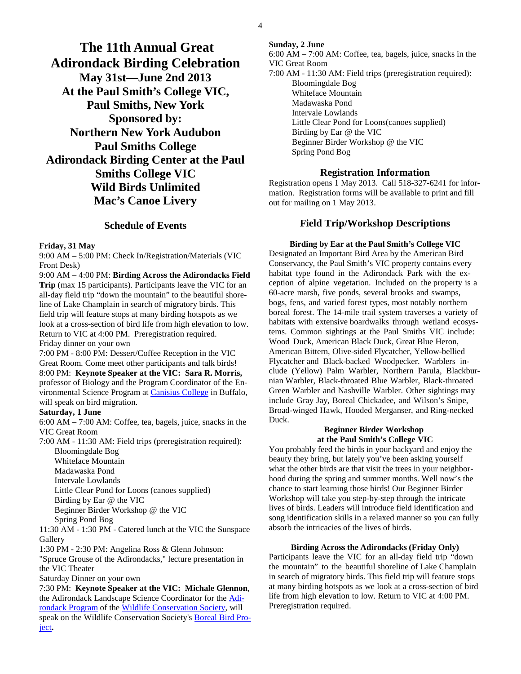**The 11th Annual Great Adirondack Birding Celebration May 31st—June 2nd 2013 At the Paul Smith's College VIC, Paul Smiths, New York Sponsored by: Northern New York Audubon Paul Smiths College Adirondack Birding Center at the Paul Smiths College VIC Wild Birds Unlimited Mac's Canoe Livery** 

### **Schedule of Events**

#### **Friday, 31 May**

9:00 AM – 5:00 PM: Check In/Registration/Materials (VIC Front Desk)

9:00 AM – 4:00 PM: **Birding Across the Adirondacks Field Trip** (max 15 participants). Participants leave the VIC for an all-day field trip "down the mountain" to the beautiful shoreline of Lake Champlain in search of migratory birds. This field trip will feature stops at many birding hotspots as we look at a cross-section of bird life from high elevation to low. Return to VIC at 4:00 PM. Preregistration required.

Friday dinner on your own

7:00 PM - 8:00 PM: Dessert/Coffee Reception in the VIC Great Room. Come meet other participants and talk birds! 8:00 PM: **Keynote Speaker at the VIC: Sara R. Morris,**  professor of Biology and the Program Coordinator of the Environmental Science Program at Canisius College in Buffalo, will speak on bird migration.

#### **Saturday, 1 June**

6:00 AM – 7:00 AM: Coffee, tea, bagels, juice, snacks in the VIC Great Room

7:00 AM - 11:30 AM: Field trips (preregistration required): Bloomingdale Bog

Whiteface Mountain Madawaska Pond Intervale Lowlands Little Clear Pond for Loons (canoes supplied) Birding by Ear @ the VIC Beginner Birder Workshop @ the VIC Spring Pond Bog

11:30 AM - 1:30 PM - Catered lunch at the VIC the Sunspace Gallery

1:30 PM - 2:30 PM: Angelina Ross & Glenn Johnson:

"Spruce Grouse of the Adirondacks," lecture presentation in the VIC Theater

Saturday Dinner on your own

7:30 PM: **Keynote Speaker at the VIC: Michale Glennon**, the Adirondack Landscape Science Coordinator for the Adirondack Program of the Wildlife Conservation Society, will speak on the Wildlife Conservation Society's Boreal Bird Project**.**

#### **Sunday, 2 June**

6:00 AM – 7:00 AM: Coffee, tea, bagels, juice, snacks in the VIC Great Room 7:00 AM - 11:30 AM: Field trips (preregistration required): Bloomingdale Bog Whiteface Mountain Madawaska Pond Intervale Lowlands Little Clear Pond for Loons(canoes supplied) Birding by Ear @ the VIC Beginner Birder Workshop @ the VIC Spring Pond Bog

### **Registration Information**

Registration opens 1 May 2013. Call 518-327-6241 for information. Registration forms will be available to print and fill out for mailing on 1 May 2013.

### **Field Trip/Workshop Descriptions**

**Birding by Ear at the Paul Smith's College VIC** Designated an Important Bird Area by the American Bird Conservancy, the Paul Smith's VIC property contains every habitat type found in the Adirondack Park with the exception of alpine vegetation. Included on the property is a 60-acre marsh, five ponds, several brooks and swamps, bogs, fens, and varied forest types, most notably northern boreal forest. The 14-mile trail system traverses a variety of habitats with extensive boardwalks through wetland ecosystems. Common sightings at the Paul Smiths VIC include: Wood Duck, American Black Duck, Great Blue Heron, American Bittern, Olive-sided Flycatcher, Yellow-bellied Flycatcher and Black-backed Woodpecker. Warblers include (Yellow) Palm Warbler, Northern Parula, Blackburnian Warbler, Black-throated Blue Warbler, Black-throated Green Warbler and Nashville Warbler. Other sightings may include Gray Jay, Boreal Chickadee, and Wilson's Snipe, Broad-winged Hawk, Hooded Merganser, and Ring-necked Duck.

### **Beginner Birder Workshop at the Paul Smith's College VIC**

You probably feed the birds in your backyard and enjoy the beauty they bring, but lately you've been asking yourself what the other birds are that visit the trees in your neighborhood during the spring and summer months. Well now's the chance to start learning those birds! Our Beginner Birder Workshop will take you step-by-step through the intricate lives of birds. Leaders will introduce field identification and song identification skills in a relaxed manner so you can fully absorb the intricacies of the lives of birds.

### **Birding Across the Adirondacks (Friday Only)**

Participants leave the VIC for an all-day field trip "down the mountain" to the beautiful shoreline of Lake Champlain in search of migratory birds. This field trip will feature stops at many birding hotspots as we look at a cross-section of bird life from high elevation to low. Return to VIC at 4:00 PM. Preregistration required.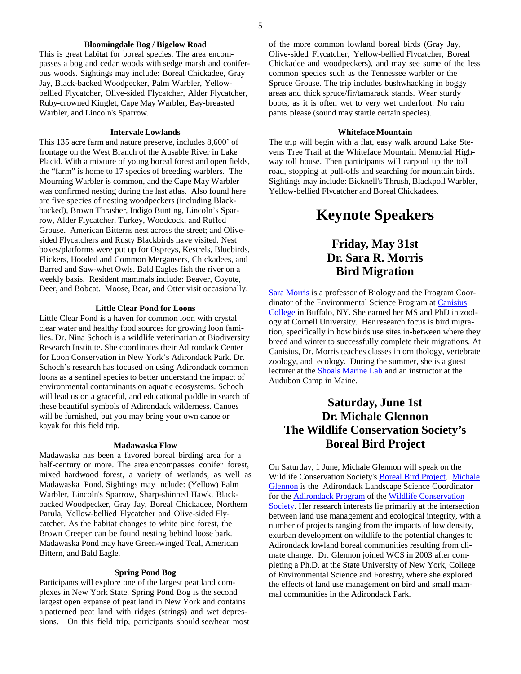#### **Bloomingdale Bog / Bigelow Road**

This is great habitat for boreal species. The area encompasses a bog and cedar woods with sedge marsh and coniferous woods. Sightings may include: Boreal Chickadee, Gray Jay, Black-backed Woodpecker, Palm Warbler, Yellowbellied Flycatcher, Olive-sided Flycatcher, Alder Flycatcher, Ruby-crowned Kinglet, Cape May Warbler, Bay-breasted Warbler, and Lincoln's Sparrow.

#### **Intervale Lowlands**

This 135 acre farm and nature preserve, includes 8,600' of frontage on the West Branch of the Ausable River in Lake Placid. With a mixture of young boreal forest and open fields, the "farm" is home to 17 species of breeding warblers. The Mourning Warbler is common, and the Cape May Warbler was confirmed nesting during the last atlas. Also found here are five species of nesting woodpeckers (including Blackbacked), Brown Thrasher, Indigo Bunting, Lincoln's Sparrow, Alder Flycatcher, Turkey, Woodcock, and Ruffed Grouse. American Bitterns nest across the street; and Olivesided Flycatchers and Rusty Blackbirds have visited. Nest boxes/platforms were put up for Ospreys, Kestrels, Bluebirds, Flickers, Hooded and Common Mergansers, Chickadees, and Barred and Saw-whet Owls. Bald Eagles fish the river on a weekly basis. Resident mammals include: Beaver, Coyote, Deer, and Bobcat. Moose, Bear, and Otter visit occasionally.

### **Little Clear Pond for Loons**

Little Clear Pond is a haven for common loon with crystal clear water and healthy food sources for growing loon families. Dr. Nina Schoch is a wildlife veterinarian at Biodiversity Research Institute. She coordinates their Adirondack Center for Loon Conservation in New York's Adirondack Park. Dr. Schoch's research has focused on using Adirondack common loons as a sentinel species to better understand the impact of environmental contaminants on aquatic ecosystems. Schoch will lead us on a graceful, and educational paddle in search of these beautiful symbols of Adirondack wilderness. Canoes will be furnished, but you may bring your own canoe or kayak for this field trip.

#### **Madawaska Flow**

Madawaska has been a favored boreal birding area for a half-century or more. The area encompasses conifer forest, mixed hardwood forest, a variety of wetlands, as well as Madawaska Pond. Sightings may include: (Yellow) Palm Warbler, Lincoln's Sparrow, Sharp-shinned Hawk, Blackbacked Woodpecker, Gray Jay, Boreal Chickadee, Northern Parula, Yellow-bellied Flycatcher and Olive-sided Flycatcher. As the habitat changes to white pine forest, the Brown Creeper can be found nesting behind loose bark. Madawaska Pond may have Green-winged Teal, American Bittern, and Bald Eagle.

#### **Spring Pond Bog**

Participants will explore one of the largest peat land complexes in New York State. Spring Pond Bog is the second largest open expanse of peat land in New York and contains a patterned peat land with ridges (strings) and wet depressions. On this field trip, participants should see/hear most of the more common lowland boreal birds (Gray Jay, Olive-sided Flycatcher, Yellow-bellied Flycatcher, Boreal Chickadee and woodpeckers), and may see some of the less common species such as the Tennessee warbler or the Spruce Grouse. The trip includes bushwhacking in boggy areas and thick spruce/fir/tamarack stands. Wear sturdy boots, as it is often wet to very wet underfoot. No rain pants please (sound may startle certain species).

#### **Whiteface Mountain**

The trip will begin with a flat, easy walk around Lake Stevens Tree Trail at the Whiteface Mountain Memorial Highway toll house. Then participants will carpool up the toll road, stopping at pull-offs and searching for mountain birds. Sightings may include: Bicknell's Thrush, Blackpoll Warbler, Yellow-bellied Flycatcher and Boreal Chickadees.

# **Keynote Speakers**

# **Friday, May 31st Dr. Sara R. Morris Bird Migration**

Sara Morris is a professor of Biology and the Program Coordinator of the Environmental Science Program at Canisius College in Buffalo, NY. She earned her MS and PhD in zoology at Cornell University. Her research focus is bird migration, specifically in how birds use sites in-between where they breed and winter to successfully complete their migrations. At Canisius, Dr. Morris teaches classes in ornithology, vertebrate zoology, and ecology. During the summer, she is a guest lecturer at the Shoals Marine Lab and an instructor at the Audubon Camp in Maine.

# **Saturday, June 1st Dr. Michale Glennon The Wildlife Conservation Society's Boreal Bird Project**

On Saturday, 1 June, Michale Glennon will speak on the Wildlife Conservation Society's Boreal Bird Project. Michale Glennon is the Adirondack Landscape Science Coordinator for the Adirondack Program of the Wildlife Conservation Society. Her research interests lie primarily at the intersection between land use management and ecological integrity, with a number of projects ranging from the impacts of low density, exurban development on wildlife to the potential changes to Adirondack lowland boreal communities resulting from climate change. Dr. Glennon joined WCS in 2003 after completing a Ph.D. at the State University of New York, College of Environmental Science and Forestry, where she explored the effects of land use management on bird and small mammal communities in the Adirondack Park.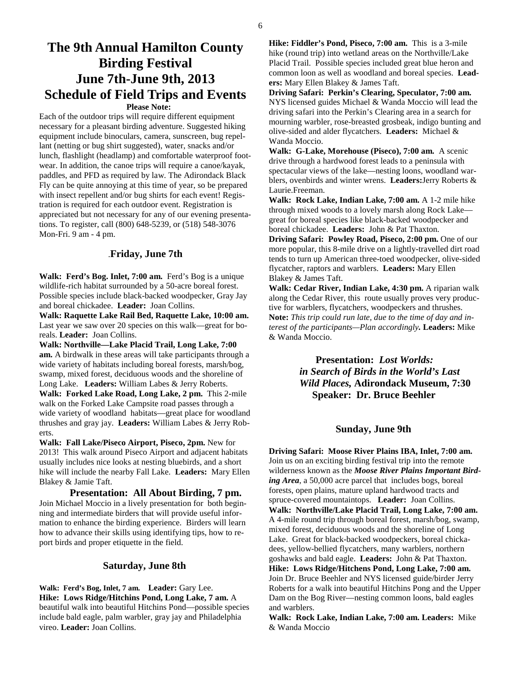# **The 9th Annual Hamilton County Birding Festival June 7th-June 9th, 2013 Schedule of Field Trips and Events Please Note:**

Each of the outdoor trips will require different equipment necessary for a pleasant birding adventure. Suggested hiking equipment include binoculars, camera, sunscreen, bug repellant (netting or bug shirt suggested), water, snacks and/or lunch, flashlight (headlamp) and comfortable waterproof footwear. In addition, the canoe trips will require a canoe/kayak, paddles, and PFD as required by law. The Adirondack Black Fly can be quite annoying at this time of year, so be prepared with insect repellent and/or bug shirts for each event! Registration is required for each outdoor event. Registration is appreciated but not necessary for any of our evening presentations. To register, call (800) 648-5239, or (518) 548-3076 Mon-Fri. 9 am - 4 pm.

### .**Friday, June 7th**

Walk: Ferd's Bog. Inlet, 7:00 am. Ferd's Bog is a unique wildlife-rich habitat surrounded by a 50-acre boreal forest. Possible species include black-backed woodpecker, Gray Jay and boreal chickadee. **Leader:** Joan Collins.

**Walk: Raquette Lake Rail Bed, Raquette Lake, 10:00 am.** Last year we saw over 20 species on this walk—great for boreals. **Leader:** Joan Collins.

**Walk: Northville—Lake Placid Trail, Long Lake, 7:00 am.** A birdwalk in these areas will take participants through a wide variety of habitats including boreal forests, marsh/bog, swamp, mixed forest, deciduous woods and the shoreline of Long Lake. **Leaders:** William Labes & Jerry Roberts. **Walk: Forked Lake Road, Long Lake, 2 pm.** This 2-mile walk on the Forked Lake Campsite road passes through a wide variety of woodland habitats—great place for woodland thrushes and gray jay. **Leaders:** William Labes & Jerry Roberts.

**Walk: Fall Lake/Piseco Airport, Piseco, 2pm.** New for 2013! This walk around Piseco Airport and adjacent habitats usually includes nice looks at nesting bluebirds, and a short hike will include the nearby Fall Lake. **Leaders:** Mary Ellen Blakey & Jamie Taft.

 **Presentation: All About Birding, 7 pm.**  Join Michael Moccio in a lively presentation for both beginning and intermediate birders that will provide useful information to enhance the birding experience. Birders will learn how to advance their skills using identifying tips, how to report birds and proper etiquette in the field.

### **Saturday, June 8th**

**Walk: Ferd's Bog, Inlet, 7 am. Leader:** Gary Lee. **Hike: Lows Ridge/Hitchins Pond, Long Lake, 7 am.** A beautiful walk into beautiful Hitchins Pond—possible species include bald eagle, palm warbler, gray jay and Philadelphia vireo. **Leader:** Joan Collins.

**Hike: Fiddler's Pond, Piseco, 7:00 am.** This is a 3-mile hike (round trip) into wetland areas on the Northville/Lake Placid Trail. Possible species included great blue heron and common loon as well as woodland and boreal species. **Leaders:** Mary Ellen Blakey & James Taft.

**Driving Safari: Perkin's Clearing, Speculator, 7:00 am.** NYS licensed guides Michael & Wanda Moccio will lead the driving safari into the Perkin's Clearing area in a search for mourning warbler, rose-breasted grosbeak, indigo bunting and olive-sided and alder flycatchers. **Leaders:** Michael & Wanda Moccio.

**Walk: G-Lake, Morehouse (Piseco), 7:00 am.** A scenic drive through a hardwood forest leads to a peninsula with spectacular views of the lake—nesting loons, woodland warblers, ovenbirds and winter wrens. **Leaders:**Jerry Roberts & Laurie.Freeman.

**Walk: Rock Lake, Indian Lake, 7:00 am.** A 1-2 mile hike through mixed woods to a lovely marsh along Rock Lake great for boreal species like black-backed woodpecker and boreal chickadee. **Leaders:** John & Pat Thaxton.

**Driving Safari: Powley Road, Piseco, 2:00 pm.** One of our more popular, this 8-mile drive on a lightly-travelled dirt road tends to turn up American three-toed woodpecker, olive-sided flycatcher, raptors and warblers. **Leaders:** Mary Ellen Blakey & James Taft.

**Walk: Cedar River, Indian Lake, 4:30 pm.** A riparian walk along the Cedar River, this route usually proves very productive for warblers, flycatchers, woodpeckers and thrushes. **Note:** *This trip could run late, due to the time of day and interest of the participants—Plan accordingly.* **Leaders:** Mike & Wanda Moccio.

> **Presentation:** *Lost Worlds: in Search of Birds in the World's Last Wild Places,* **Adirondack Museum, 7:30 Speaker: Dr. Bruce Beehler**

### **Sunday, June 9th**

**Driving Safari: Moose River Plains IBA, Inlet, 7:00 am.**  Join us on an exciting birding festival trip into the remote wilderness known as the *Moose River Plains Important Birding Area*, a 50,000 acre parcel that includes bogs, boreal forests, open plains, mature upland hardwood tracts and spruce-covered mountaintops. **Leader:** Joan Collins. **Walk: Northville/Lake Placid Trail, Long Lake, 7:00 am.**  A 4-mile round trip through boreal forest, marsh/bog, swamp, mixed forest, deciduous woods and the shoreline of Long Lake. Great for black-backed woodpeckers, boreal chickadees, yellow-bellied flycatchers, many warblers, northern goshawks and bald eagle. **Leaders:** John & Pat Thaxton. **Hike: Lows Ridge/Hitchens Pond, Long Lake, 7:00 am.** Join Dr. Bruce Beehler and NYS licensed guide/birder Jerry Roberts for a walk into beautiful Hitchins Pong and the Upper Dam on the Bog River—nesting common loons, bald eagles and warblers.

**Walk: Rock Lake, Indian Lake, 7:00 am. Leaders:** Mike & Wanda Moccio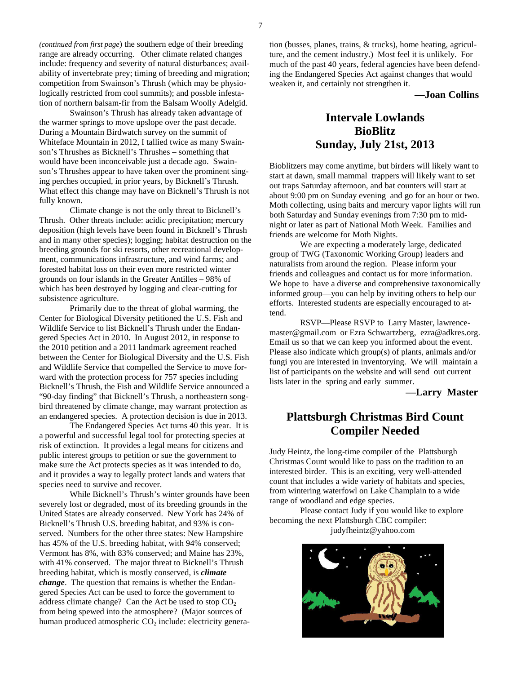*(continued from first page*) the southern edge of their breeding range are already occurring. Other climate related changes include: frequency and severity of natural disturbances; availability of invertebrate prey; timing of breeding and migration; competition from Swainson's Thrush (which may be physiologically restricted from cool summits); and possble infestation of northern balsam-fir from the Balsam Woolly Adelgid.

Swainson's Thrush has already taken advantage of the warmer springs to move upslope over the past decade. During a Mountain Birdwatch survey on the summit of Whiteface Mountain in 2012, I tallied twice as many Swainson's Thrushes as Bicknell's Thrushes – something that would have been inconceivable just a decade ago. Swainson's Thrushes appear to have taken over the prominent singing perches occupied, in prior years, by Bicknell's Thrush. What effect this change may have on Bicknell's Thrush is not fully known.

Climate change is not the only threat to Bicknell's Thrush. Other threats include: acidic precipitation; mercury deposition (high levels have been found in Bicknell's Thrush and in many other species); logging; habitat destruction on the breeding grounds for ski resorts, other recreational development, communications infrastructure, and wind farms; and forested habitat loss on their even more restricted winter grounds on four islands in the Greater Antilles – 98% of which has been destroyed by logging and clear-cutting for subsistence agriculture.

Primarily due to the threat of global warming, the Center for Biological Diversity petitioned the U.S. Fish and Wildlife Service to list Bicknell's Thrush under the Endangered Species Act in 2010. In August 2012, in response to the 2010 petition and a 2011 landmark agreement reached between the Center for Biological Diversity and the U.S. Fish and Wildlife Service that compelled the Service to move forward with the protection process for 757 species including Bicknell's Thrush, the Fish and Wildlife Service announced a "90-day finding" that Bicknell's Thrush, a northeastern songbird threatened by climate change, may warrant protection as an endangered species. A protection decision is due in 2013.

The Endangered Species Act turns 40 this year. It is a powerful and successful legal tool for protecting species at risk of extinction. It provides a legal means for citizens and public interest groups to petition or sue the government to make sure the Act protects species as it was intended to do, and it provides a way to legally protect lands and waters that species need to survive and recover.

 While Bicknell's Thrush's winter grounds have been severely lost or degraded, most of its breeding grounds in the United States are already conserved. New York has 24% of Bicknell's Thrush U.S. breeding habitat, and 93% is conserved. Numbers for the other three states: New Hampshire has 45% of the U.S. breeding habitat, with 94% conserved; Vermont has 8%, with 83% conserved; and Maine has 23%, with 41% conserved. The major threat to Bicknell's Thrush breeding habitat, which is mostly conserved, is *climate change*. The question that remains is whether the Endangered Species Act can be used to force the government to address climate change? Can the Act be used to stop  $CO<sub>2</sub>$ from being spewed into the atmosphere? (Major sources of human produced atmospheric  $CO<sub>2</sub>$  include: electricity generation (busses, planes, trains, & trucks), home heating, agriculture, and the cement industry.) Most feel it is unlikely. For much of the past 40 years, federal agencies have been defending the Endangered Species Act against changes that would weaken it, and certainly not strengthen it.

**—Joan Collins**

# **Intervale Lowlands BioBlitz Sunday, July 21st, 2013**

Bioblitzers may come anytime, but birders will likely want to start at dawn, small mammal trappers will likely want to set out traps Saturday afternoon, and bat counters will start at about 9:00 pm on Sunday evening and go for an hour or two. Moth collecting, using baits and mercury vapor lights will run both Saturday and Sunday evenings from 7:30 pm to midnight or later as part of National Moth Week. Families and friends are welcome for Moth Nights.

 We are expecting a moderately large, dedicated group of TWG (Taxonomic Working Group) leaders and naturalists from around the region. Please inform your friends and colleagues and contact us for more information. We hope to have a diverse and comprehensive taxonomically informed group—you can help by inviting others to help our efforts. Interested students are especially encouraged to attend.

 RSVP—Please RSVP to Larry Master, lawrencemaster@gmail.com or Ezra Schwartzberg, ezra@adkres.org. Email us so that we can keep you informed about the event. Please also indicate which group(s) of plants, animals and/or fungi you are interested in inventorying. We will maintain a list of participants on the website and will send out current lists later in the spring and early summer.

**—Larry Master** 

### **Plattsburgh Christmas Bird Count Compiler Needed**

Judy Heintz, the long-time compiler of the Plattsburgh Christmas Count would like to pass on the tradition to an interested birder. This is an exciting, very well-attended count that includes a wide variety of habitats and species, from wintering waterfowl on Lake Champlain to a wide range of woodland and edge species.

 Please contact Judy if you would like to explore becoming the next Plattsburgh CBC compiler: judyfheintz@yahoo.com